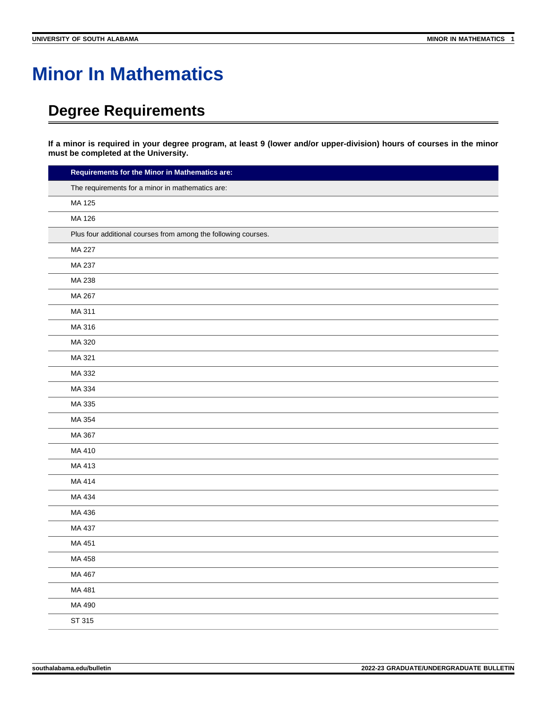# **Minor In Mathematics**

## **Degree Requirements**

**If a minor is required in your degree program, at least 9 (lower and/or upper-division) hours of courses in the minor must be completed at the University.**

| Requirements for the Minor in Mathematics are:                 |  |
|----------------------------------------------------------------|--|
| The requirements for a minor in mathematics are:               |  |
| MA 125                                                         |  |
| MA 126                                                         |  |
| Plus four additional courses from among the following courses. |  |
| MA 227                                                         |  |
| MA 237                                                         |  |
| MA 238                                                         |  |
| MA 267                                                         |  |
| MA 311                                                         |  |
| MA 316                                                         |  |
| MA 320                                                         |  |
| MA 321                                                         |  |
| MA 332                                                         |  |
| MA 334                                                         |  |
| MA 335                                                         |  |
| MA 354                                                         |  |
| MA 367                                                         |  |
| MA 410                                                         |  |
| MA 413                                                         |  |
| MA 414                                                         |  |
| MA 434                                                         |  |
| MA 436                                                         |  |
| MA 437                                                         |  |
| MA 451                                                         |  |
| MA 458                                                         |  |
| MA 467                                                         |  |
| MA 481                                                         |  |
| MA 490                                                         |  |
| ST 315                                                         |  |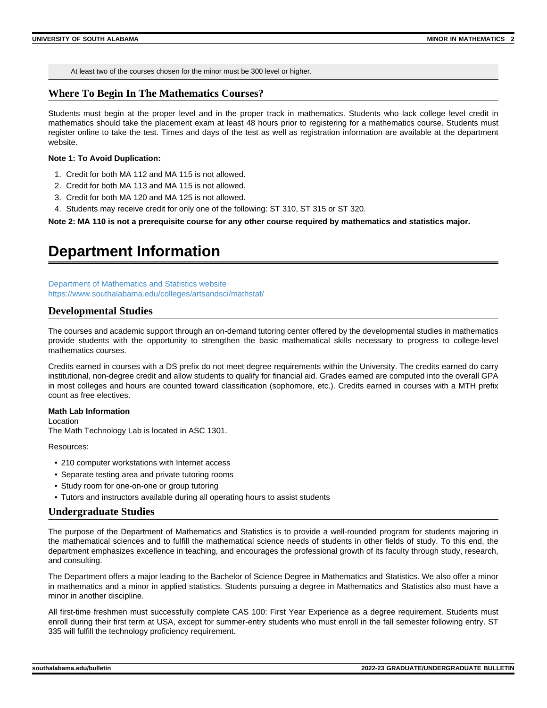At least two of the courses chosen for the minor must be 300 level or higher.

#### **Where To Begin In The Mathematics Courses?**

Students must begin at the proper level and in the proper track in mathematics. Students who lack college level credit in mathematics should take the placement exam at least 48 hours prior to registering for a mathematics course. Students must register online to take the test. Times and days of the test as well as registration information are available at the department website.

#### **Note 1: To Avoid Duplication:**

- 1. Credit for both MA 112 and MA 115 is not allowed.
- 2. Credit for both MA 113 and MA 115 is not allowed.
- 3. Credit for both MA 120 and MA 125 is not allowed.
- 4. Students may receive credit for only one of the following: ST 310, ST 315 or ST 320.

**Note 2: MA 110 is not a prerequisite course for any other course required by mathematics and statistics major.**

### **Department Information**

[Department of Mathematics and Statistics website](https://www.southalabama.edu/colleges/artsandsci/mathstat/) [https://www.southalabama.edu/colleges/artsandsci/mathstat/](https://www.southalabama.edu/colleges/artsandsci/mathstat)

#### **Developmental Studies**

The courses and academic support through an on-demand tutoring center offered by the developmental studies in mathematics provide students with the opportunity to strengthen the basic mathematical skills necessary to progress to college-level mathematics courses.

Credits earned in courses with a DS prefix do not meet degree requirements within the University. The credits earned do carry institutional, non-degree credit and allow students to qualify for financial aid. Grades earned are computed into the overall GPA in most colleges and hours are counted toward classification (sophomore, etc.). Credits earned in courses with a MTH prefix count as free electives.

#### **Math Lab Information**

Location

The Math Technology Lab is located in ASC 1301.

Resources:

- 210 computer workstations with Internet access
- Separate testing area and private tutoring rooms
- Study room for one-on-one or group tutoring
- Tutors and instructors available during all operating hours to assist students

#### **Undergraduate Studies**

The purpose of the Department of Mathematics and Statistics is to provide a well-rounded program for students majoring in the mathematical sciences and to fulfill the mathematical science needs of students in other fields of study. To this end, the department emphasizes excellence in teaching, and encourages the professional growth of its faculty through study, research, and consulting.

The Department offers a major leading to the Bachelor of Science Degree in Mathematics and Statistics. We also offer a minor in mathematics and a minor in applied statistics. Students pursuing a degree in Mathematics and Statistics also must have a minor in another discipline.

All first-time freshmen must successfully complete CAS 100: First Year Experience as a degree requirement. Students must enroll during their first term at USA, except for summer-entry students who must enroll in the fall semester following entry. ST 335 will fulfill the technology proficiency requirement.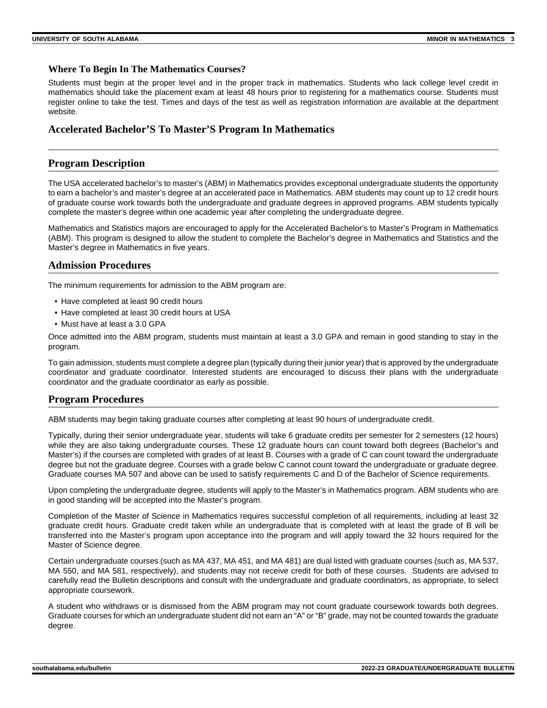#### **Where To Begin In The Mathematics Courses?**

Students must begin at the proper level and in the proper track in mathematics. Students who lack college level credit in mathematics should take the placement exam at least 48 hours prior to registering for a mathematics course. Students must register online to take the test. Times and days of the test as well as registration information are available at the department website.

#### **Accelerated Bachelor'S To Master'S Program In Mathematics**

#### **Program Description**

The USA accelerated bachelor's to master's (ABM) in Mathematics provides exceptional undergraduate students the opportunity to earn a bachelor's and master's degree at an accelerated pace in Mathematics. ABM students may count up to 12 credit hours of graduate course work towards both the undergraduate and graduate degrees in approved programs. ABM students typically complete the master's degree within one academic year after completing the undergraduate degree.

Mathematics and Statistics majors are encouraged to apply for the Accelerated Bachelor's to Master's Program in Mathematics (ABM). This program is designed to allow the student to complete the Bachelor's degree in Mathematics and Statistics and the Master's degree in Mathematics in five years.

#### **Admission Procedures**

The minimum requirements for admission to the ABM program are:

- Have completed at least 90 credit hours
- Have completed at least 30 credit hours at USA
- Must have at least a 3.0 GPA

Once admitted into the ABM program, students must maintain at least a 3.0 GPA and remain in good standing to stay in the program.

To gain admission, students must complete a degree plan (typically during their junior year) that is approved by the undergraduate coordinator and graduate coordinator. Interested students are encouraged to discuss their plans with the undergraduate coordinator and the graduate coordinator as early as possible.

#### **Program Procedures**

ABM students may begin taking graduate courses after completing at least 90 hours of undergraduate credit.

Typically, during their senior undergraduate year, students will take 6 graduate credits per semester for 2 semesters (12 hours) while they are also taking undergraduate courses. These 12 graduate hours can count toward both degrees (Bachelor's and Master's) if the courses are completed with grades of at least B. Courses with a grade of C can count toward the undergraduate degree but not the graduate degree. Courses with a grade below C cannot count toward the undergraduate or graduate degree. Graduate courses MA 507 and above can be used to satisfy requirements C and D of the Bachelor of Science requirements.

Upon completing the undergraduate degree, students will apply to the Master's in Mathematics program. ABM students who are in good standing will be accepted into the Master's program.

Completion of the Master of Science in Mathematics requires successful completion of all requirements, including at least 32 graduate credit hours. Graduate credit taken while an undergraduate that is completed with at least the grade of B will be transferred into the Master's program upon acceptance into the program and will apply toward the 32 hours required for the Master of Science degree.

Certain undergraduate courses (such as MA 437, MA 451, and MA 481) are dual listed with graduate courses (such as, MA 537, MA 550, and MA 581, respectively), and students may not receive credit for both of these courses. Students are advised to carefully read the Bulletin descriptions and consult with the undergraduate and graduate coordinators, as appropriate, to select appropriate coursework.

A student who withdraws or is dismissed from the ABM program may not count graduate coursework towards both degrees. Graduate courses for which an undergraduate student did not earn an "A" or "B" grade, may not be counted towards the graduate degree.